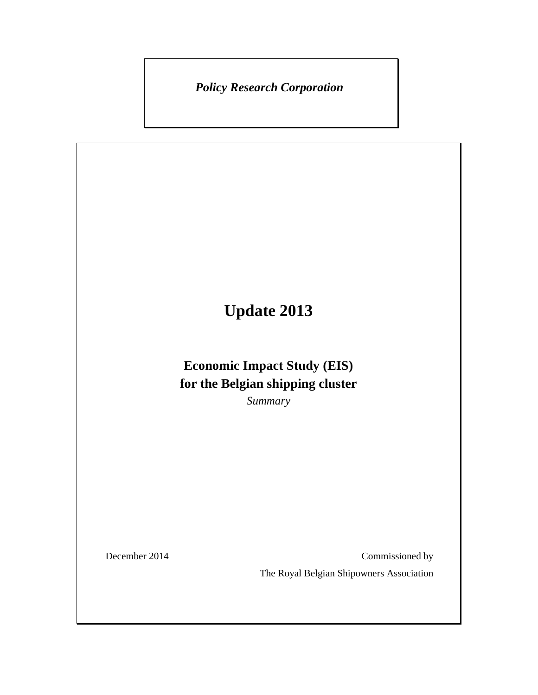*Policy Research Corporation* 

# **Update 2013**

## **Economic Impact Study (EIS) for the Belgian shipping cluster**

*Summary* 

December 2014 Commissioned by

The Royal Belgian Shipowners Association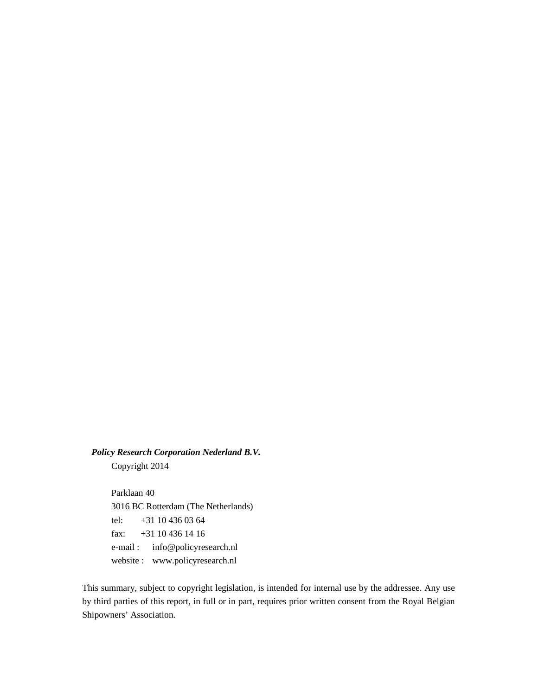*Policy Research Corporation Nederland B.V.* Copyright 2014

> Parklaan 40 3016 BC Rotterdam (The Netherlands) tel: +31 10 436 03 64 fax: +31 10 436 14 16 e-mail : info@policyresearch.nl website : www.policyresearch.nl

This summary, subject to copyright legislation, is intended for internal use by the addressee. Any use by third parties of this report, in full or in part, requires prior written consent from the Royal Belgian Shipowners' Association.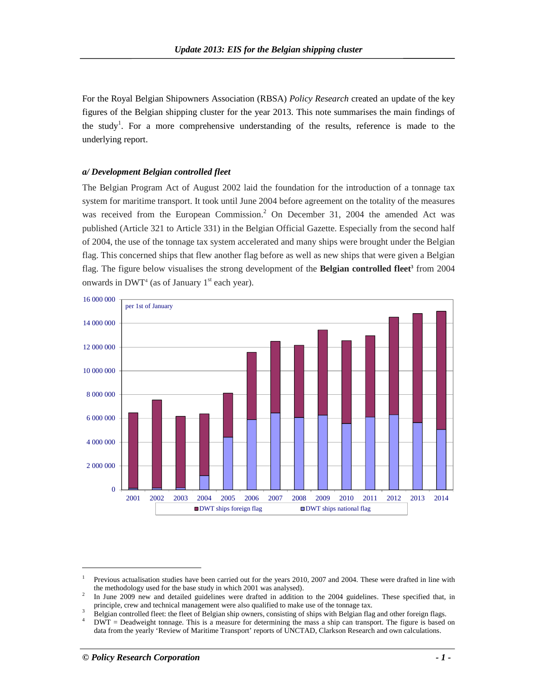For the Royal Belgian Shipowners Association (RBSA) *Policy Research* created an update of the key figures of the Belgian shipping cluster for the year 2013. This note summarises the main findings of the study<sup>1</sup>. For a more comprehensive understanding of the results, reference is made to the underlying report.

#### *a/ Development Belgian controlled fleet*

The Belgian Program Act of August 2002 laid the foundation for the introduction of a tonnage tax system for maritime transport. It took until June 2004 before agreement on the totality of the measures was received from the European Commission.<sup>2</sup> On December 31, 2004 the amended Act was published (Article 321 to Article 331) in the Belgian Official Gazette. Especially from the second half of 2004, the use of the tonnage tax system accelerated and many ships were brought under the Belgian flag. This concerned ships that flew another flag before as well as new ships that were given a Belgian flag. The figure below visualises the strong development of the **Belgian controlled fleet<sup>3</sup>** from 2004 onwards in  $DWT<sup>4</sup>$  (as of January 1<sup>st</sup> each year).



-

<sup>1</sup> Previous actualisation studies have been carried out for the years 2010, 2007 and 2004. These were drafted in line with the methodology used for the base study in which 2001 was analysed).

<sup>2</sup> In June 2009 new and detailed guidelines were drafted in addition to the 2004 guidelines. These specified that, in principle, crew and technical management were also qualified to make use of the tonnage tax.

<sup>3</sup> Belgian controlled fleet: the fleet of Belgian ship owners, consisting of ships with Belgian flag and other foreign flags. 4

DWT = Deadweight tonnage. This is a measure for determining the mass a ship can transport. The figure is based on data from the yearly 'Review of Maritime Transport' reports of UNCTAD, Clarkson Research and own calculations.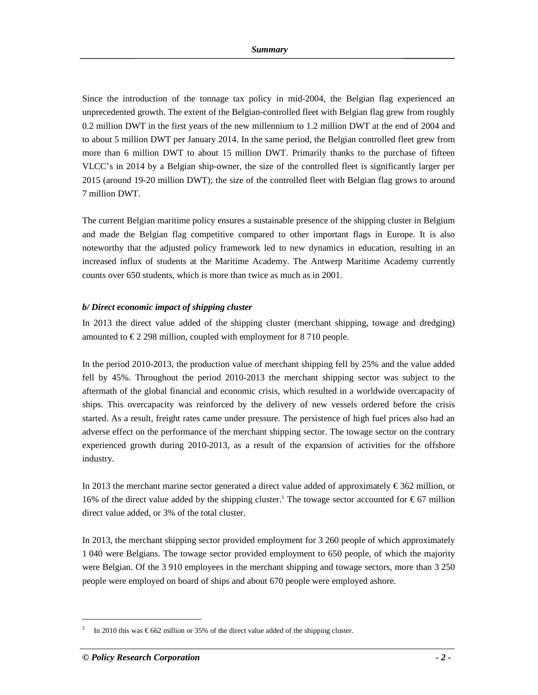Since the introduction of the tonnage tax policy in mid-2004, the Belgian flag experienced an unprecedented growth. The extent of the Belgian-controlled fleet with Belgian flag grew from roughly 0.2 million DWT in the first years of the new millennium to 1.2 million DWT at the end of 2004 and to about 5 million DWT per January 2014. In the same period, the Belgian controlled fleet grew from more than 6 million DWT to about 15 million DWT. Primarily thanks to the purchase of fifteen VLCC's in 2014 by a Belgian ship-owner, the size of the controlled fleet is significantly larger per 2015 (around 19-20 million DWT); the size of the controlled fleet with Belgian flag grows to around 7 million DWT.

The current Belgian maritime policy ensures a sustainable presence of the shipping cluster in Belgium and made the Belgian flag competitive compared to other important flags in Europe. It is also noteworthy that the adjusted policy framework led to new dynamics in education, resulting in an increased influx of students at the Maritime Academy. The Antwerp Maritime Academy currently counts over 650 students, which is more than twice as much as in 2001.

### *b/ Direct economic impact of shipping cluster*

In 2013 the direct value added of the shipping cluster (merchant shipping, towage and dredging) amounted to  $\epsilon$  2 298 million, coupled with employment for 8 710 people.

In the period 2010-2013, the production value of merchant shipping fell by 25% and the value added fell by 45%. Throughout the period 2010-2013 the merchant shipping sector was subject to the aftermath of the global financial and economic crisis, which resulted in a worldwide overcapacity of ships. This overcapacity was reinforced by the delivery of new vessels ordered before the crisis started. As a result, freight rates came under pressure. The persistence of high fuel prices also had an adverse effect on the performance of the merchant shipping sector. The towage sector on the contrary experienced growth during 2010-2013, as a result of the expansion of activities for the offshore industry.

In 2013 the merchant marine sector generated a direct value added of approximately € 362 million, or 16% of the direct value added by the shipping cluster.<sup>5</sup> The towage sector accounted for  $\epsilon$  67 million direct value added, or 3% of the total cluster.

In 2013, the merchant shipping sector provided employment for 3 260 people of which approximately 1 040 were Belgians. The towage sector provided employment to 650 people, of which the majority were Belgian. Of the 3 910 employees in the merchant shipping and towage sectors, more than 3 250 people were employed on board of ships and about 670 people were employed ashore.

-

<sup>5</sup> In 2010 this was  $\epsilon$  662 million or 35% of the direct value added of the shipping cluster.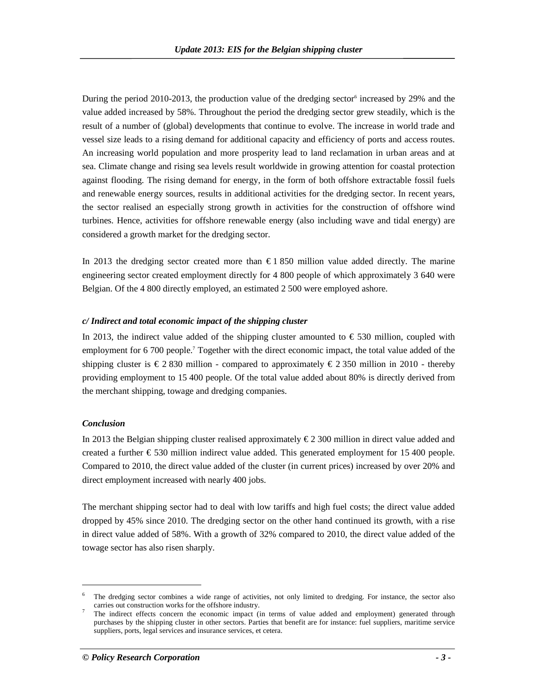During the period 2010-2013, the production value of the dredging sector<sup>6</sup> increased by 29% and the value added increased by 58%. Throughout the period the dredging sector grew steadily, which is the result of a number of (global) developments that continue to evolve. The increase in world trade and vessel size leads to a rising demand for additional capacity and efficiency of ports and access routes. An increasing world population and more prosperity lead to land reclamation in urban areas and at sea. Climate change and rising sea levels result worldwide in growing attention for coastal protection against flooding. The rising demand for energy, in the form of both offshore extractable fossil fuels and renewable energy sources, results in additional activities for the dredging sector. In recent years, the sector realised an especially strong growth in activities for the construction of offshore wind turbines. Hence, activities for offshore renewable energy (also including wave and tidal energy) are considered a growth market for the dredging sector.

In 2013 the dredging sector created more than  $\epsilon$  1 850 million value added directly. The marine engineering sector created employment directly for 4 800 people of which approximately 3 640 were Belgian. Of the 4 800 directly employed, an estimated 2 500 were employed ashore.

#### *c/ Indirect and total economic impact of the shipping cluster*

In 2013, the indirect value added of the shipping cluster amounted to  $\epsilon$  530 million, coupled with employment for 6 700 people.<sup>7</sup> Together with the direct economic impact, the total value added of the shipping cluster is  $\epsilon$  2 830 million - compared to approximately  $\epsilon$  2 350 million in 2010 - thereby providing employment to 15 400 people. Of the total value added about 80% is directly derived from the merchant shipping, towage and dredging companies.

#### *Conclusion*

-

In 2013 the Belgian shipping cluster realised approximately € 2 300 million in direct value added and created a further  $\epsilon$  530 million indirect value added. This generated employment for 15 400 people. Compared to 2010, the direct value added of the cluster (in current prices) increased by over 20% and direct employment increased with nearly 400 jobs.

The merchant shipping sector had to deal with low tariffs and high fuel costs; the direct value added dropped by 45% since 2010. The dredging sector on the other hand continued its growth, with a rise in direct value added of 58%. With a growth of 32% compared to 2010, the direct value added of the towage sector has also risen sharply.

<sup>6</sup> The dredging sector combines a wide range of activities, not only limited to dredging. For instance, the sector also carries out construction works for the offshore industry.

<sup>7</sup> The indirect effects concern the economic impact (in terms of value added and employment) generated through purchases by the shipping cluster in other sectors. Parties that benefit are for instance: fuel suppliers, maritime service suppliers, ports, legal services and insurance services, et cetera.